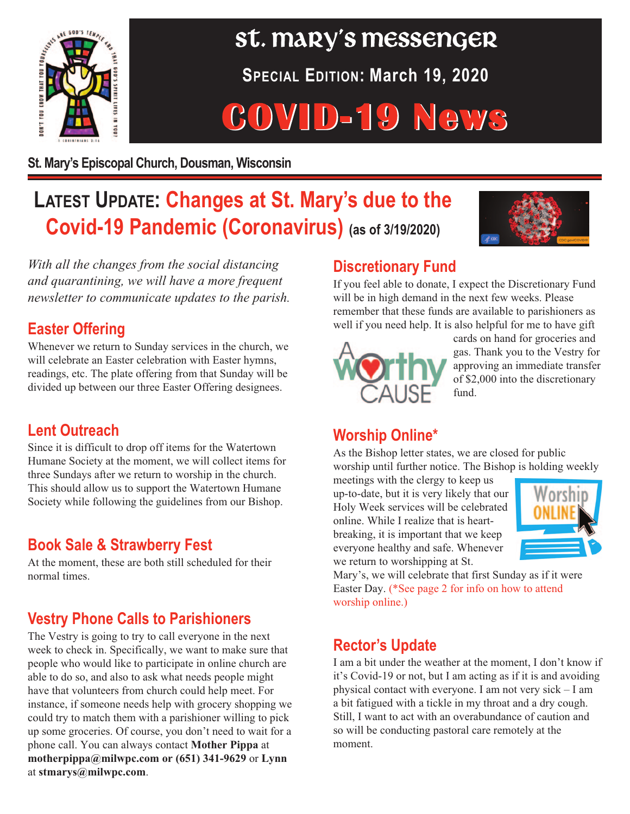

# $\frac{1}{\sqrt{2}}$   $\frac{1}{\sqrt{2}}$  Messenger

**SPECIAL EDITION: March 19, 2020**

## **COVID-19 News**

**St. Mary's Episcopal Church, Dousman, Wisconsin**

### **LATEST UPDATE: Changes at St. Mary's due to the Covid-19 Pandemic (Coronavirus) (as of 3/19/2020)**



*With all the changes from the social distancing and quarantining, we will have a more frequent newsletter to communicate updates to the parish.*

#### **Easter Offering**

Whenever we return to Sunday services in the church, we will celebrate an Easter celebration with Easter hymns, readings, etc. The plate offering from that Sunday will be divided up between our three Easter Offering designees.

#### **Lent Outreach**

Since it is difficult to drop off items for the Watertown Humane Society at the moment, we will collect items for three Sundays after we return to worship in the church. This should allow us to support the Watertown Humane Society while following the guidelines from our Bishop.

#### **Book Sale & Strawberry Fest**

At the moment, these are both still scheduled for their normal times.

#### **Vestry Phone Calls to Parishioners**

The Vestry is going to try to call everyone in the next week to check in. Specifically, we want to make sure that people who would like to participate in online church are able to do so, and also to ask what needs people might have that volunteers from church could help meet. For instance, if someone needs help with grocery shopping we could try to match them with a parishioner willing to pick up some groceries. Of course, you don't need to wait for a phone call. You can always contact **Mother Pippa** at **motherpippa@milwpc.com or (651) 341-9629** or **Lynn** at **stmarys@milwpc.com**.

#### **Discretionary Fund**

If you feel able to donate, I expect the Discretionary Fund will be in high demand in the next few weeks. Please remember that these funds are available to parishioners as well if you need help. It is also helpful for me to have gift



cards on hand for groceries and gas. Thank you to the Vestry for approving an immediate transfer of \$2,000 into the discretionary fund.

#### **Worship Online\***

As the Bishop letter states, we are closed for public worship until further notice. The Bishop is holding weekly

meetings with the clergy to keep us up-to-date, but it is very likely that our Holy Week services will be celebrated online. While I realize that is heartbreaking, it is important that we keep everyone healthy and safe. Whenever we return to worshipping at St.



Mary's, we will celebrate that first Sunday as if it were Easter Day. (\*See page 2 for info on how to attend worship online.)

#### **Rector's Update**

I am a bit under the weather at the moment, I don't know if it's Covid-19 or not, but I am acting as if it is and avoiding physical contact with everyone. I am not very sick – I am a bit fatigued with a tickle in my throat and a dry cough. Still, I want to act with an overabundance of caution and so will be conducting pastoral care remotely at the moment.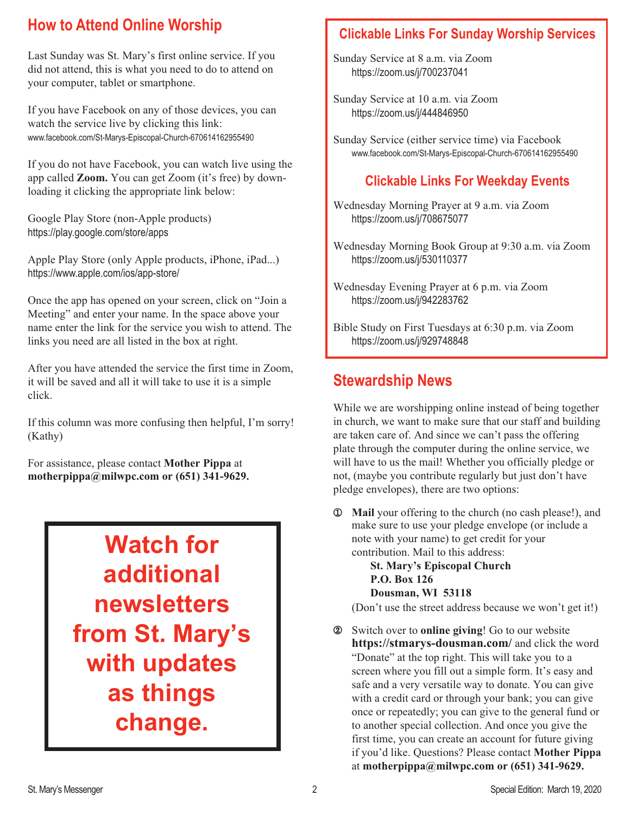#### **How to Attend Online Worship**

Last Sunday was St. Mary's first online service. If you did not attend, this is what you need to do to attend on your computer, tablet or smartphone.

If you have Facebook on any of those devices, you can watch the service live by clicking this link: www.facebook.com/St-Marys-Episcopal-Church-670614162955490

If you do not have Facebook, you can watch live using the app called **Zoom.** You can get Zoom (it's free) by downloading it clicking the appropriate link below:

Google Play Store (non-Apple products) https://play.google.com/store/apps

Apple Play Store (only Apple products, iPhone, iPad...) https://www.apple.com/ios/app-store/

Once the app has opened on your screen, click on "Join a Meeting" and enter your name. In the space above your name enter the link for the service you wish to attend. The links you need are all listed in the box at right.

After you have attended the service the first time in Zoom, it will be saved and all it will take to use it is a simple click.

If this column was more confusing then helpful, I'm sorry! (Kathy)

For assistance, please contact **Mother Pippa** at **motherpippa@milwpc.com or (651) 341-9629.**

## **Watch for additional newsletters from St. Mary's with updates as things change.**

#### **Clickable Links For Sunday Worship Services**

Sunday Service at 8 a.m. via Zoom https://zoom.us/j/700237041

Sunday Service at 10 a.m. via Zoom https://zoom.us/j/444846950

Sunday Service (either service time) via Facebook www.facebook.com/St-Marys-Episcopal-Church-670614162955490

#### **Clickable Links For Weekday Events**

Wednesday Morning Prayer at 9 a.m. via Zoom https://zoom.us/j/708675077

Wednesday Morning Book Group at 9:30 a.m. via Zoom https://zoom.us/j/530110377

Wednesday Evening Prayer at 6 p.m. via Zoom https://zoom.us/j/942283762

Bible Study on First Tuesdays at 6:30 p.m. via Zoom https://zoom.us/j/929748848

#### **Stewardship News**

While we are worshipping online instead of being together in church, we want to make sure that our staff and building are taken care of. And since we can't pass the offering plate through the computer during the online service, we will have to us the mail! Whether you officially pledge or not, (maybe you contribute regularly but just don't have pledge envelopes), there are two options:

 **Mail** your offering to the church (no cash please!), and make sure to use your pledge envelope (or include a note with your name) to get credit for your contribution. Mail to this address:  

**St. Mary's Episcopal Church P.O. Box 126 Dousman, WI 53118**

(Don't use the street address because we won't get it!)

 Switch over to **online giving**! Go to our website **https://stmarys-dousman.com/** and click the word "Donate" at the top right. This will take you to a screen where you fill out a simple form. It's easy and safe and a very versatile way to donate. You can give with a credit card or through your bank; you can give once or repeatedly; you can give to the general fund or to another special collection. And once you give the first time, you can create an account for future giving if you'd like. Questions? Please contact **Mother Pippa** at **motherpippa@milwpc.com or (651) 341-9629.**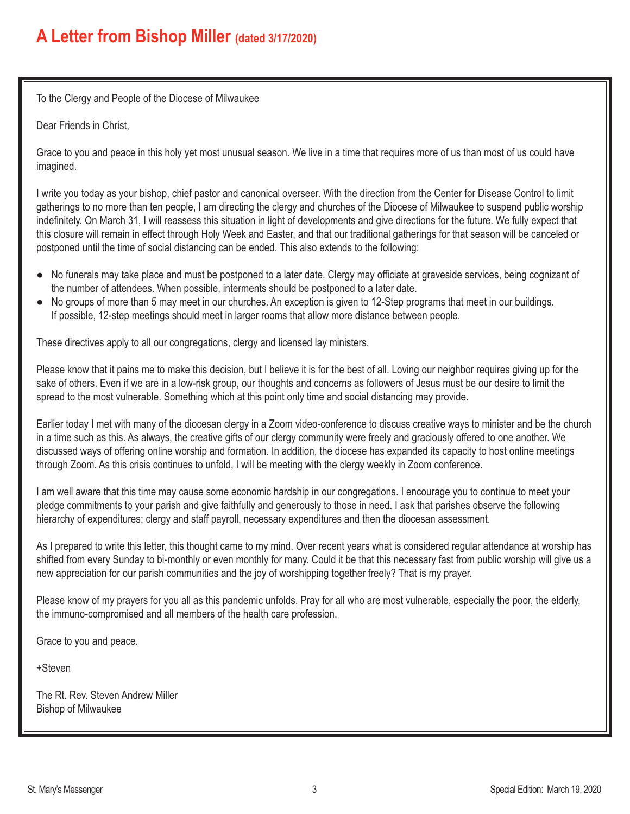#### **A Letter from Bishop Miller (dated 3/17/2020)**

To the Clergy and People of the Diocese of Milwaukee

Dear Friends in Christ,

Grace to you and peace in this holy yet most unusual season. We live in a time that requires more of us than most of us could have imagined.

I write you today as your bishop, chief pastor and canonical overseer. With the direction from the Center for Disease Control to limit gatherings to no more than ten people, I am directing the clergy and churches of the Diocese of Milwaukee to suspend public worship indefinitely. On March 31, I will reassess this situation in light of developments and give directions for the future. We fully expect that this closure will remain in effect through Holy Week and Easter, and that our traditional gatherings for that season will be canceled or postponed until the time of social distancing can be ended. This also extends to the following:

- No funerals may take place and must be postponed to a later date. Clergy may officiate at graveside services, being cognizant of the number of attendees. When possible, interments should be postponed to a later date.
- No groups of more than 5 may meet in our churches. An exception is given to 12-Step programs that meet in our buildings. If possible, 12-step meetings should meet in larger rooms that allow more distance between people.

These directives apply to all our congregations, clergy and licensed lay ministers.

Please know that it pains me to make this decision, but I believe it is for the best of all. Loving our neighbor requires giving up for the sake of others. Even if we are in a low-risk group, our thoughts and concerns as followers of Jesus must be our desire to limit the spread to the most vulnerable. Something which at this point only time and social distancing may provide.

Earlier today I met with many of the diocesan clergy in a Zoom video-conference to discuss creative ways to minister and be the church in a time such as this. As always, the creative gifts of our clergy community were freely and graciously offered to one another. We discussed ways of offering online worship and formation. In addition, the diocese has expanded its capacity to host online meetings through Zoom. As this crisis continues to unfold, I will be meeting with the clergy weekly in Zoom conference.

I am well aware that this time may cause some economic hardship in our congregations. I encourage you to continue to meet your pledge commitments to your parish and give faithfully and generously to those in need. I ask that parishes observe the following hierarchy of expenditures: clergy and staff payroll, necessary expenditures and then the diocesan assessment.

As I prepared to write this letter, this thought came to my mind. Over recent years what is considered regular attendance at worship has shifted from every Sunday to bi-monthly or even monthly for many. Could it be that this necessary fast from public worship will give us a new appreciation for our parish communities and the joy of worshipping together freely? That is my prayer.

Please know of my prayers for you all as this pandemic unfolds. Pray for all who are most vulnerable, especially the poor, the elderly, the immuno-compromised and all members of the health care profession.

Grace to you and peace.

+Steven

The Rt. Rev. Steven Andrew Miller Bishop of Milwaukee